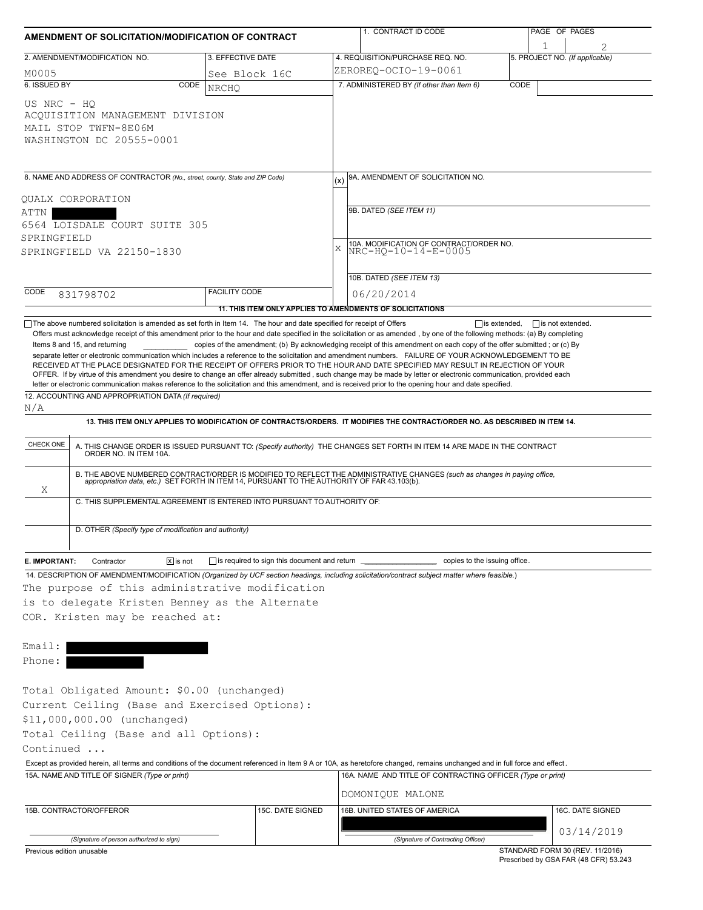|                                                                                                                                                                                                                                         | AMENDMENT OF SOLICITATION/MODIFICATION OF CONTRACT    |                                                                                                   |           | 1. CONTRACT ID CODE                                                                                                                                                                                                                                                                                                             |      | PAGE OF PAGES                  |  |  |
|-----------------------------------------------------------------------------------------------------------------------------------------------------------------------------------------------------------------------------------------|-------------------------------------------------------|---------------------------------------------------------------------------------------------------|-----------|---------------------------------------------------------------------------------------------------------------------------------------------------------------------------------------------------------------------------------------------------------------------------------------------------------------------------------|------|--------------------------------|--|--|
| 2. AMENDMENT/MODIFICATION NO.                                                                                                                                                                                                           |                                                       | 3. EFFECTIVE DATE                                                                                 |           | 4. REQUISITION/PURCHASE REQ. NO.                                                                                                                                                                                                                                                                                                | 1    | 5. PROJECT NO. (If applicable) |  |  |
|                                                                                                                                                                                                                                         |                                                       |                                                                                                   |           | ZEROREO-OCIO-19-0061                                                                                                                                                                                                                                                                                                            |      |                                |  |  |
| M0005<br>6. ISSUED BY                                                                                                                                                                                                                   | CODE                                                  | See Block 16C                                                                                     |           | 7. ADMINISTERED BY (If other than Item 6)                                                                                                                                                                                                                                                                                       | CODE |                                |  |  |
| US NRC - HO<br>ACOUISITION MANAGEMENT DIVISION<br>MAIL STOP TWFN-8E06M<br>WASHINGTON DC 20555-0001                                                                                                                                      |                                                       | <b>NRCHO</b>                                                                                      |           |                                                                                                                                                                                                                                                                                                                                 |      |                                |  |  |
| 8. NAME AND ADDRESS OF CONTRACTOR (No., street, county, State and ZIP Code)<br>QUALX CORPORATION                                                                                                                                        |                                                       |                                                                                                   | (x)       | 9A. AMENDMENT OF SOLICITATION NO.                                                                                                                                                                                                                                                                                               |      |                                |  |  |
| ATTN<br>6564 LOISDALE COURT SUITE 305<br>SPRINGFIELD                                                                                                                                                                                    |                                                       |                                                                                                   |           | 9B. DATED (SEE ITEM 11)                                                                                                                                                                                                                                                                                                         |      |                                |  |  |
| SPRINGFIELD VA 22150-1830                                                                                                                                                                                                               |                                                       |                                                                                                   | $\bar{x}$ | 10A. MODIFICATION OF CONTRACT/ORDER NO.<br>NRC-HQ-10-14-E-0005                                                                                                                                                                                                                                                                  |      |                                |  |  |
|                                                                                                                                                                                                                                         |                                                       |                                                                                                   |           | 10B. DATED (SEE ITEM 13)                                                                                                                                                                                                                                                                                                        |      |                                |  |  |
| CODE<br>831798702                                                                                                                                                                                                                       |                                                       | <b>FACILITY CODE</b>                                                                              |           | 06/20/2014                                                                                                                                                                                                                                                                                                                      |      |                                |  |  |
|                                                                                                                                                                                                                                         |                                                       | 11. THIS ITEM ONLY APPLIES TO AMENDMENTS OF SOLICITATIONS                                         |           |                                                                                                                                                                                                                                                                                                                                 |      |                                |  |  |
| 12. ACCOUNTING AND APPROPRIATION DATA (If required)<br>N/A                                                                                                                                                                              |                                                       |                                                                                                   |           | OFFER. If by virtue of this amendment you desire to change an offer already submitted, such change may be made by letter or electronic communication, provided each<br>letter or electronic communication makes reference to the solicitation and this amendment, and is received prior to the opening hour and date specified. |      |                                |  |  |
|                                                                                                                                                                                                                                         |                                                       |                                                                                                   |           | 13. THIS ITEM ONLY APPLIES TO MODIFICATION OF CONTRACTS/ORDERS. IT MODIFIES THE CONTRACT/ORDER NO. AS DESCRIBED IN ITEM 14.                                                                                                                                                                                                     |      |                                |  |  |
|                                                                                                                                                                                                                                         |                                                       |                                                                                                   |           | A. THIS CHANGE ORDER IS ISSUED PURSUANT TO: (Specify authority) THE CHANGES SET FORTH IN ITEM 14 ARE MADE IN THE CONTRACT ORDER NO. IN ITEM 10A.                                                                                                                                                                                |      |                                |  |  |
| Χ                                                                                                                                                                                                                                       |                                                       | C. THIS SUPPLEMENTAL AGREEMENT IS ENTERED INTO PURSUANT TO AUTHORITY OF:                          |           | B. THE ABOVE NUMBERED CONTRACT/ORDER IS MODIFIED TO REFLECT THE ADMINISTRATIVE CHANGES (such as changes in paying office, appropriation data, etc.) SET FORTH IN ITEM 14, PURSUANT TO THE AUTHORITY OF FAR 43.103(b).                                                                                                           |      |                                |  |  |
| CHECK ONE                                                                                                                                                                                                                               | D. OTHER (Specify type of modification and authority) |                                                                                                   |           |                                                                                                                                                                                                                                                                                                                                 |      |                                |  |  |
| E. IMPORTANT:<br>Contractor                                                                                                                                                                                                             | $\boxed{\mathsf{x}}$ is not                           | is required to sign this document and return _                                                    |           | copies to the issuing office.                                                                                                                                                                                                                                                                                                   |      |                                |  |  |
|                                                                                                                                                                                                                                         |                                                       | The purpose of this administrative modification<br>is to delegate Kristen Benney as the Alternate |           | 14. DESCRIPTION OF AMENDMENT/MODIFICATION (Organized by UCF section headings, including solicitation/contract subject matter where feasible.)                                                                                                                                                                                   |      |                                |  |  |
| COR. Kristen may be reached at:<br>Email:<br>Phone:<br>Total Obligated Amount: \$0.00 (unchanged)<br>\$11,000,000.00 (unchanged)<br>Total Ceiling (Base and all Options):<br>Continued<br>15A. NAME AND TITLE OF SIGNER (Type or print) |                                                       | Current Ceiling (Base and Exercised Options):                                                     |           | Except as provided herein, all terms and conditions of the document referenced in Item 9 A or 10A, as heretofore changed, remains unchanged and in full force and effect.<br>16A. NAME AND TITLE OF CONTRACTING OFFICER (Type or print)                                                                                         |      |                                |  |  |
|                                                                                                                                                                                                                                         |                                                       |                                                                                                   |           | DOMONIQUE MALONE                                                                                                                                                                                                                                                                                                                |      |                                |  |  |
| 15B. CONTRACTOR/OFFEROR                                                                                                                                                                                                                 |                                                       | 15C. DATE SIGNED                                                                                  |           | 16B. UNITED STATES OF AMERICA                                                                                                                                                                                                                                                                                                   |      | 16C. DATE SIGNED               |  |  |
|                                                                                                                                                                                                                                         | (Signature of person authorized to sign)              |                                                                                                   |           | (Signature of Contracting Officer)                                                                                                                                                                                                                                                                                              |      | 03/14/2019                     |  |  |

Prescribed by GSA FAR (48 CFR) 53.243